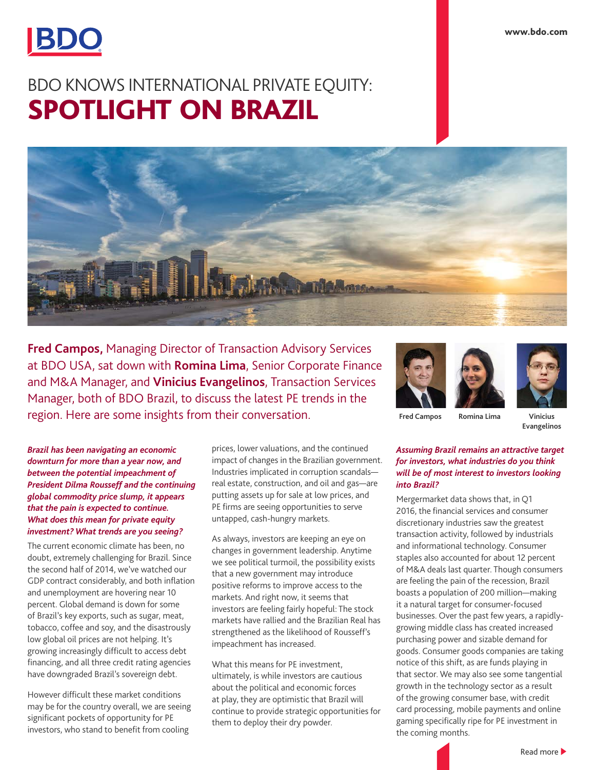

# BDO KNOWS INTERNATIONAL PRIVATE EQUITY: SPOTLIGHT ON BRAZIL



**Fred Campos,** Managing Director of Transaction Advisory Services at BDO USA, sat down with **Romina Lima**, Senior Corporate Finance and M&A Manager, and **Vinicius Evangelinos**, Transaction Services Manager, both of BDO Brazil, to discuss the latest PE trends in the region. Here are some insights from their conversation. **Fred Campos Romina Lima Vinicius** 

*Brazil has been navigating an economic downturn for more than a year now, and between the potential impeachment of President Dilma Rousseff and the continuing global commodity price slump, it appears that the pain is expected to continue. What does this mean for private equity investment? What trends are you seeing?*

The current economic climate has been, no doubt, extremely challenging for Brazil. Since the second half of 2014, we've watched our GDP contract considerably, and both inflation and unemployment are hovering near 10 percent. Global demand is down for some of Brazil's key exports, such as sugar, meat, tobacco, coffee and soy, and the disastrously low global oil prices are not helping. It's growing increasingly difficult to access debt financing, and all three credit rating agencies have downgraded Brazil's sovereign debt.

However difficult these market conditions may be for the country overall, we are seeing significant pockets of opportunity for PE investors, who stand to benefit from cooling

prices, lower valuations, and the continued impact of changes in the Brazilian government. Industries implicated in corruption scandals real estate, construction, and oil and gas—are putting assets up for sale at low prices, and PE firms are seeing opportunities to serve untapped, cash-hungry markets.

As always, investors are keeping an eye on changes in government leadership. Anytime we see political turmoil, the possibility exists that a new government may introduce positive reforms to improve access to the markets. And right now, it seems that investors are feeling fairly hopeful: The stock markets have rallied and the Brazilian Real has strengthened as the likelihood of Rousseff's impeachment has increased.

What this means for PE investment, ultimately, is while investors are cautious about the political and economic forces at play, they are optimistic that Brazil will continue to provide strategic opportunities for them to deploy their dry powder.





**Evangelinos**

## *Assuming Brazil remains an attractive target for investors, what industries do you think will be of most interest to investors looking into Brazil?*

Mergermarket data shows that, in Q1 2016, the financial services and consumer discretionary industries saw the greatest transaction activity, followed by industrials and informational technology. Consumer staples also accounted for about 12 percent of M&A deals last quarter. Though consumers are feeling the pain of the recession, Brazil boasts a population of 200 million—making it a natural target for consumer-focused businesses. Over the past few years, a rapidlygrowing middle class has created increased purchasing power and sizable demand for goods. Consumer goods companies are taking notice of this shift, as are funds playing in that sector. We may also see some tangential growth in the technology sector as a result of the growing consumer base, with credit card processing, mobile payments and online gaming specifically ripe for PE investment in the coming months.